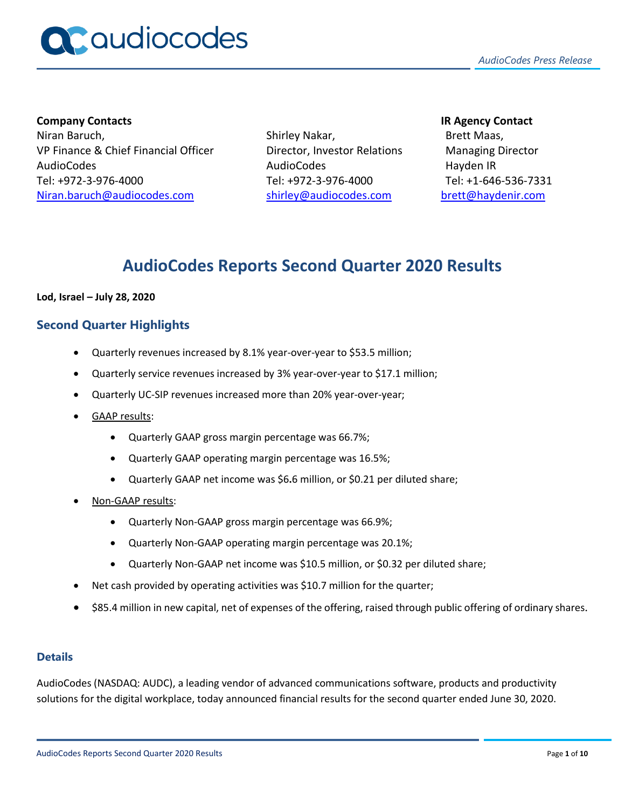

**Company Contacts IR Agency Contact** Niran Baruch, VP Finance & Chief Financial Officer AudioCodes Tel: +972-3-976-4000 [Niran.baruch@audiocodes.com](mailto:Niran.baruch@audiocodes.com)

Shirley Nakar, Director, Investor Relations AudioCodes Tel: +972-3-976-4000 [shirley@audiocodes.com](mailto:shirley@audiocodes.com)

Brett Maas, Managing Director Hayden IR Tel: +1-646-536-7331 [brett@haydenir.com](mailto:brett@haydenir.com)

# **AudioCodes Reports Second Quarter 2020 Results**

#### **Lod, Israel – July 28, 2020**

# **Second Quarter Highlights**

- Quarterly revenues increased by 8.1% year-over-year to \$53.5 million;
- Quarterly service revenues increased by 3% year-over-year to \$17.1 million;
- Quarterly UC-SIP revenues increased more than 20% year-over-year;
- GAAP results:
	- Quarterly GAAP gross margin percentage was 66.7%;
	- Quarterly GAAP operating margin percentage was 16.5%;
	- Quarterly GAAP net income was \$6**.**6 million, or \$0.21 per diluted share;
- Non-GAAP results:
	- Quarterly Non-GAAP gross margin percentage was 66.9%;
	- Quarterly Non-GAAP operating margin percentage was 20.1%;
	- Quarterly Non-GAAP net income was \$10.5 million, or \$0.32 per diluted share;
- Net cash provided by operating activities was \$10.7 million for the quarter;
- \$85.4 million in new capital, net of expenses of the offering, raised through public offering of ordinary shares.

#### **Details**

AudioCodes (NASDAQ: AUDC), a leading vendor of advanced communications software, products and productivity solutions for the digital workplace, today announced financial results for the second quarter ended June 30, 2020.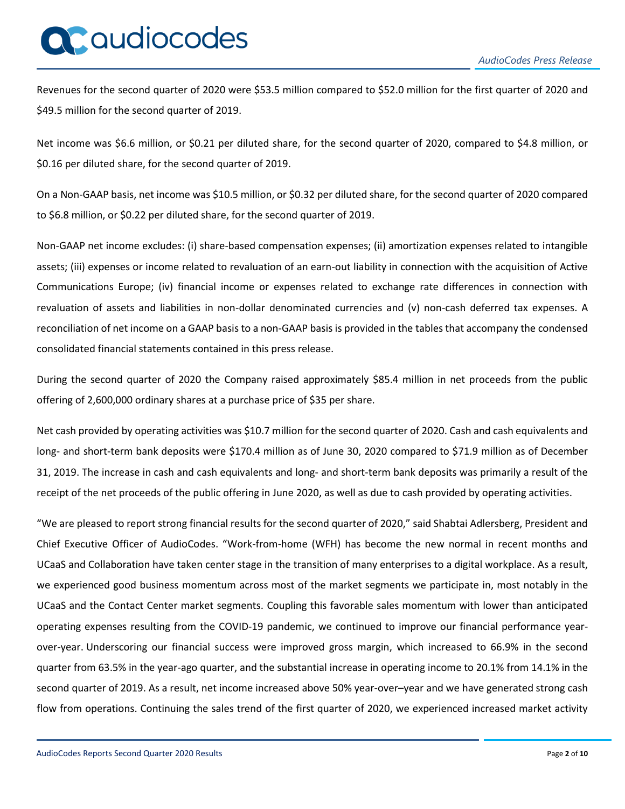# QCaudiocodes

Revenues for the second quarter of 2020 were \$53.5 million compared to \$52.0 million for the first quarter of 2020 and \$49.5 million for the second quarter of 2019.

Net income was \$6.6 million, or \$0.21 per diluted share, for the second quarter of 2020, compared to \$4.8 million, or \$0.16 per diluted share, for the second quarter of 2019.

On a Non-GAAP basis, net income was \$10.5 million, or \$0.32 per diluted share, for the second quarter of 2020 compared to \$6.8 million, or \$0.22 per diluted share, for the second quarter of 2019.

Non-GAAP net income excludes: (i) share-based compensation expenses; (ii) amortization expenses related to intangible assets; (iii) expenses or income related to revaluation of an earn-out liability in connection with the acquisition of Active Communications Europe; (iv) financial income or expenses related to exchange rate differences in connection with revaluation of assets and liabilities in non-dollar denominated currencies and (v) non-cash deferred tax expenses. A reconciliation of net income on a GAAP basis to a non-GAAP basisis provided in the tables that accompany the condensed consolidated financial statements contained in this press release.

During the second quarter of 2020 the Company raised approximately \$85.4 million in net proceeds from the public offering of 2,600,000 ordinary shares at a purchase price of \$35 per share.

Net cash provided by operating activities was \$10.7 million for the second quarter of 2020. Cash and cash equivalents and long- and short-term bank deposits were \$170.4 million as of June 30, 2020 compared to \$71.9 million as of December 31, 2019. The increase in cash and cash equivalents and long- and short-term bank deposits was primarily a result of the receipt of the net proceeds of the public offering in June 2020, as well as due to cash provided by operating activities.

"We are pleased to report strong financial results for the second quarter of 2020," said Shabtai Adlersberg, President and Chief Executive Officer of AudioCodes. "Work-from-home (WFH) has become the new normal in recent months and UCaaS and Collaboration have taken center stage in the transition of many enterprises to a digital workplace. As a result, we experienced good business momentum across most of the market segments we participate in, most notably in the UCaaS and the Contact Center market segments. Coupling this favorable sales momentum with lower than anticipated operating expenses resulting from the COVID-19 pandemic, we continued to improve our financial performance yearover-year. Underscoring our financial success were improved gross margin, which increased to 66.9% in the second quarter from 63.5% in the year-ago quarter, and the substantial increase in operating income to 20.1% from 14.1% in the second quarter of 2019. As a result, net income increased above 50% year-over–year and we have generated strong cash flow from operations. Continuing the sales trend of the first quarter of 2020, we experienced increased market activity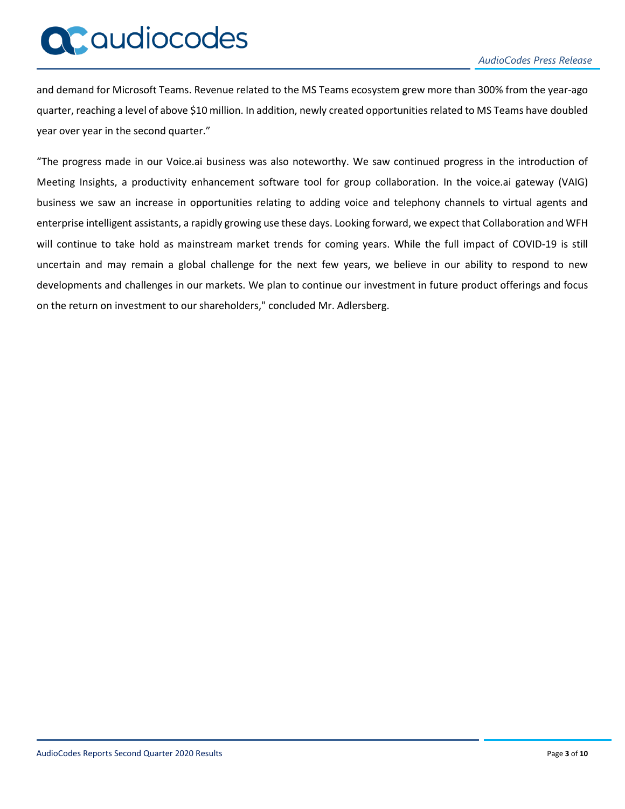# QCaudiocodes

and demand for Microsoft Teams. Revenue related to the MS Teams ecosystem grew more than 300% from the year-ago quarter, reaching a level of above \$10 million. In addition, newly created opportunities related to MS Teams have doubled year over year in the second quarter."

"The progress made in our Voice.ai business was also noteworthy. We saw continued progress in the introduction of Meeting Insights, a productivity enhancement software tool for group collaboration. In the voice.ai gateway (VAIG) business we saw an increase in opportunities relating to adding voice and telephony channels to virtual agents and enterprise intelligent assistants, a rapidly growing use these days. Looking forward, we expect that Collaboration and WFH will continue to take hold as mainstream market trends for coming years. While the full impact of COVID-19 is still uncertain and may remain a global challenge for the next few years, we believe in our ability to respond to new developments and challenges in our markets. We plan to continue our investment in future product offerings and focus on the return on investment to our shareholders," concluded Mr. Adlersberg.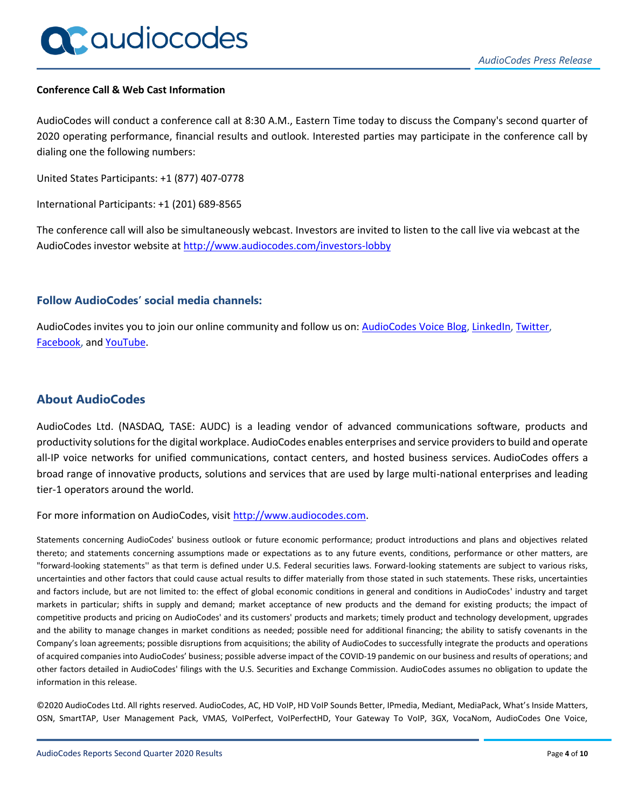#### **Conference Call & Web Cast Information**

AudioCodes will conduct a conference call at 8:30 A.M., Eastern Time today to discuss the Company's second quarter of 2020 operating performance, financial results and outlook. Interested parties may participate in the conference call by dialing one the following numbers:

United States Participants: +1 (877) 407-0778

International Participants: +1 (201) 689-8565

The conference call will also be simultaneously webcast. Investors are invited to listen to the call live via webcast at the AudioCodes investor website at<http://www.audiocodes.com/investors-lobby>

# **Follow AudioCodes' social media channels:**

AudioCodes invites you to join our online community and follow us on[: AudioCodes Voice Blog,](http://blog.audiocodes.com/) [LinkedIn,](http://www.linkedin.com/companies/audiocodes) [Twitter,](http://www.twitter.com/audiocodes) [Facebook,](http://www.facebook.com/audiocodes) and [YouTube.](http://www.youtube.com/user/audioserge)

# **About AudioCodes**

AudioCodes Ltd. (NASDAQ, TASE: AUDC) is a leading vendor of advanced communications software, products and productivity solutionsfor the digital workplace. AudioCodes enables enterprises and service providers to build and operate all-IP voice networks for unified communications, contact centers, and hosted business services. AudioCodes offers a broad range of innovative products, solutions and services that are used by large multi-national enterprises and leading tier-1 operators around the world.

For more information on AudioCodes, visit [http://www.audiocodes.com.](http://www.audiocodes.com/)

Statements concerning AudioCodes' business outlook or future economic performance; product introductions and plans and objectives related thereto; and statements concerning assumptions made or expectations as to any future events, conditions, performance or other matters, are "forward-looking statements'' as that term is defined under U.S. Federal securities laws. Forward-looking statements are subject to various risks, uncertainties and other factors that could cause actual results to differ materially from those stated in such statements. These risks, uncertainties and factors include, but are not limited to: the effect of global economic conditions in general and conditions in AudioCodes' industry and target markets in particular; shifts in supply and demand; market acceptance of new products and the demand for existing products; the impact of competitive products and pricing on AudioCodes' and its customers' products and markets; timely product and technology development, upgrades and the ability to manage changes in market conditions as needed; possible need for additional financing; the ability to satisfy covenants in the Company's loan agreements; possible disruptions from acquisitions; the ability of AudioCodes to successfully integrate the products and operations of acquired companies into AudioCodes' business; possible adverse impact of the COVID-19 pandemic on our business and results of operations; and other factors detailed in AudioCodes' filings with the U.S. Securities and Exchange Commission. AudioCodes assumes no obligation to update the information in this release.

©2020 AudioCodes Ltd. All rights reserved. AudioCodes, AC, HD VoIP, HD VoIP Sounds Better, IPmedia, Mediant, MediaPack, What's Inside Matters, OSN, SmartTAP, User Management Pack, VMAS, VoIPerfect, VoIPerfectHD, Your Gateway To VoIP, 3GX, VocaNom, AudioCodes One Voice,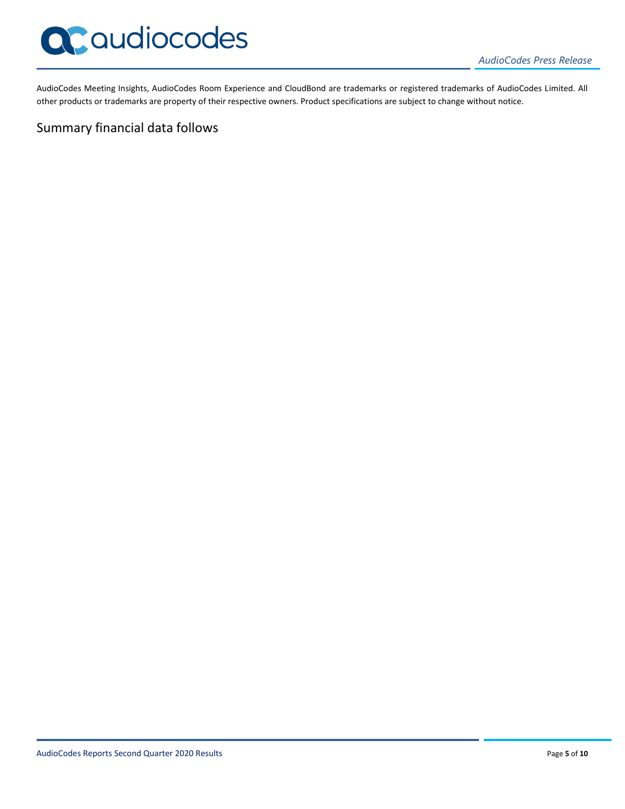

AudioCodes Meeting Insights, AudioCodes Room Experience and CloudBond are trademarks or registered trademarks of AudioCodes Limited. All other products or trademarks are property of their respective owners. Product specifications are subject to change without notice.

# Summary financial data follows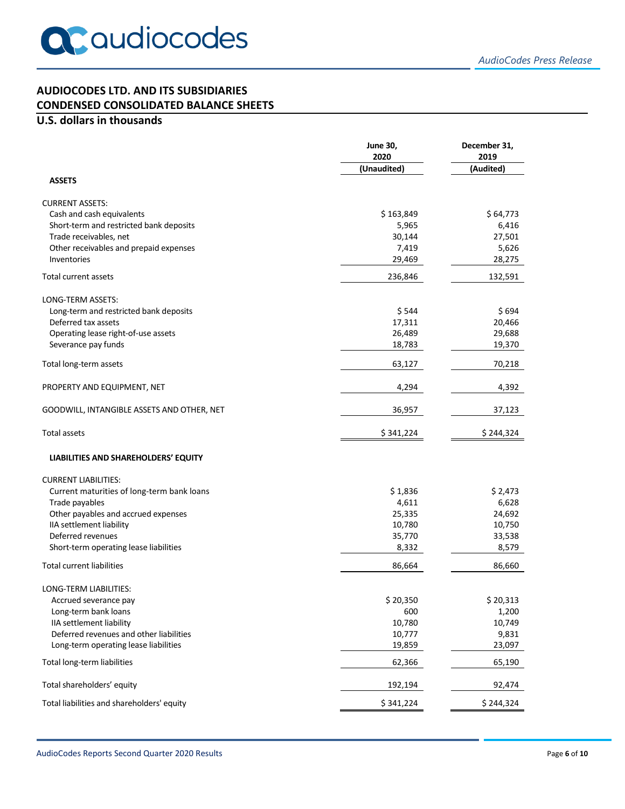# **AUDIOCODES LTD. AND ITS SUBSIDIARIES CONDENSED CONSOLIDATED BALANCE SHEETS**

# **U.S. dollars in thousands**

|                                                                   | <b>June 30,</b><br>2020 | December 31,<br>2019 |
|-------------------------------------------------------------------|-------------------------|----------------------|
| <b>ASSETS</b>                                                     | (Unaudited)             | (Audited)            |
|                                                                   |                         |                      |
| <b>CURRENT ASSETS:</b>                                            | \$163,849               | \$64,773             |
| Cash and cash equivalents                                         | 5,965                   |                      |
| Short-term and restricted bank deposits<br>Trade receivables, net | 30,144                  | 6,416<br>27,501      |
| Other receivables and prepaid expenses                            | 7,419                   | 5,626                |
| Inventories                                                       | 29,469                  | 28,275               |
| Total current assets                                              | 236,846                 | 132,591              |
|                                                                   |                         |                      |
| LONG-TERM ASSETS:                                                 |                         |                      |
| Long-term and restricted bank deposits                            | \$544                   | \$694                |
| Deferred tax assets                                               | 17,311                  | 20,466               |
| Operating lease right-of-use assets                               | 26,489                  | 29,688               |
| Severance pay funds                                               | 18,783                  | 19,370               |
| Total long-term assets                                            | 63,127                  | 70,218               |
| PROPERTY AND EQUIPMENT, NET                                       | 4,294                   | 4,392                |
| GOODWILL, INTANGIBLE ASSETS AND OTHER, NET                        | 36,957                  | 37,123               |
| <b>Total assets</b>                                               | \$341,224               | \$244,324            |
| LIABILITIES AND SHAREHOLDERS' EQUITY                              |                         |                      |
|                                                                   |                         |                      |
| <b>CURRENT LIABILITIES:</b>                                       |                         |                      |
| Current maturities of long-term bank loans                        | \$1,836                 | \$2,473              |
| Trade payables                                                    | 4,611                   | 6,628                |
| Other payables and accrued expenses                               | 25,335                  | 24,692               |
| IIA settlement liability<br>Deferred revenues                     | 10,780                  | 10,750               |
| Short-term operating lease liabilities                            | 35,770<br>8,332         | 33,538<br>8,579      |
|                                                                   |                         |                      |
| <b>Total current liabilities</b>                                  | 86,664                  | 86,660               |
| LONG-TERM LIABILITIES:                                            |                         |                      |
| Accrued severance pay                                             | \$20,350                | \$20,313             |
| Long-term bank loans                                              | 600                     | 1,200                |
| IIA settlement liability                                          | 10,780                  | 10,749               |
| Deferred revenues and other liabilities                           | 10,777                  | 9,831                |
| Long-term operating lease liabilities                             | 19,859                  | 23,097               |
| Total long-term liabilities                                       | 62,366                  | 65,190               |
| Total shareholders' equity                                        | 192,194                 | 92,474               |
| Total liabilities and shareholders' equity                        | \$341,224               | \$244,324            |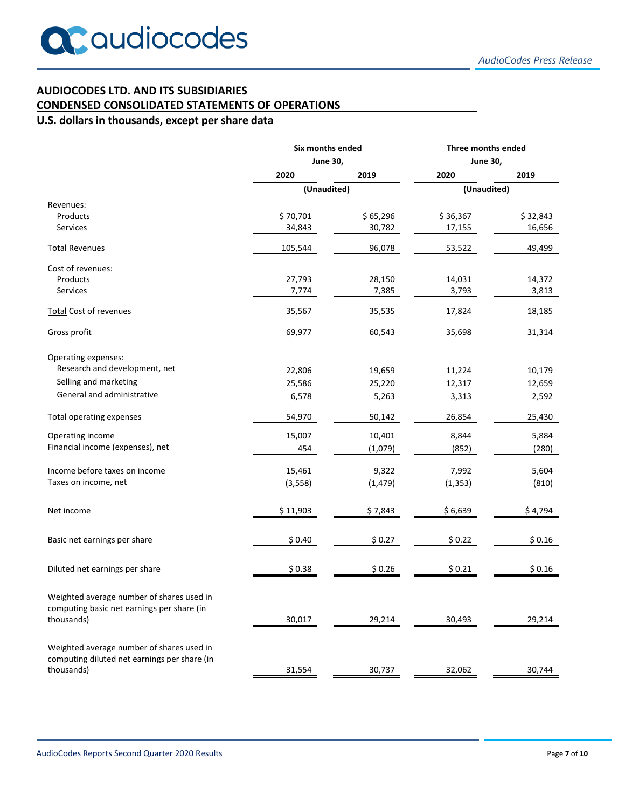# **AUDIOCODES LTD. AND ITS SUBSIDIARIES**

### **CONDENSED CONSOLIDATED STATEMENTS OF OPERATIONS**

# **U.S. dollars in thousands, except per share data**

|                                                                                           | Six months ended<br><b>June 30,</b> |          | Three months ended<br><b>June 30,</b> |          |
|-------------------------------------------------------------------------------------------|-------------------------------------|----------|---------------------------------------|----------|
|                                                                                           |                                     |          |                                       |          |
|                                                                                           | 2020                                | 2019     | 2020                                  | 2019     |
|                                                                                           | (Unaudited)                         |          | (Unaudited)                           |          |
| Revenues:                                                                                 |                                     |          |                                       |          |
| Products                                                                                  | \$70,701                            | \$65,296 | \$36,367                              | \$32,843 |
| Services                                                                                  | 34,843                              | 30,782   | 17,155                                | 16,656   |
| <b>Total Revenues</b>                                                                     | 105,544                             | 96,078   | 53,522                                | 49,499   |
| Cost of revenues:                                                                         |                                     |          |                                       |          |
| Products                                                                                  | 27,793                              | 28,150   | 14,031                                | 14,372   |
| <b>Services</b>                                                                           | 7,774                               | 7,385    | 3,793                                 | 3,813    |
| Total Cost of revenues                                                                    | 35,567                              | 35,535   | 17,824                                | 18,185   |
| Gross profit                                                                              | 69,977                              | 60,543   | 35,698                                | 31,314   |
| Operating expenses:                                                                       |                                     |          |                                       |          |
| Research and development, net                                                             | 22,806                              | 19,659   | 11,224                                | 10,179   |
| Selling and marketing                                                                     | 25,586                              | 25,220   | 12,317                                | 12,659   |
| General and administrative                                                                | 6,578                               | 5,263    | 3,313                                 | 2,592    |
| Total operating expenses                                                                  | 54,970                              | 50,142   | 26,854                                | 25,430   |
| Operating income                                                                          | 15,007                              | 10,401   | 8,844                                 | 5,884    |
| Financial income (expenses), net                                                          | 454                                 | (1,079)  | (852)                                 | (280)    |
| Income before taxes on income                                                             | 15,461                              | 9,322    | 7,992                                 | 5,604    |
| Taxes on income, net                                                                      | (3,558)                             | (1, 479) | (1, 353)                              | (810)    |
| Net income                                                                                | \$11,903                            | \$7,843  | \$6,639                               | \$4,794  |
|                                                                                           |                                     |          |                                       |          |
| Basic net earnings per share                                                              | \$0.40                              | \$0.27   | \$0.22                                | \$0.16   |
| Diluted net earnings per share                                                            | \$0.38                              | \$0.26   | \$0.21                                | \$0.16   |
| Weighted average number of shares used in<br>computing basic net earnings per share (in   |                                     |          |                                       |          |
| thousands)                                                                                | 30,017                              | 29,214   | 30,493                                | 29,214   |
| Weighted average number of shares used in<br>computing diluted net earnings per share (in |                                     |          |                                       |          |
| thousands)                                                                                | 31,554                              | 30,737   | 32,062                                | 30,744   |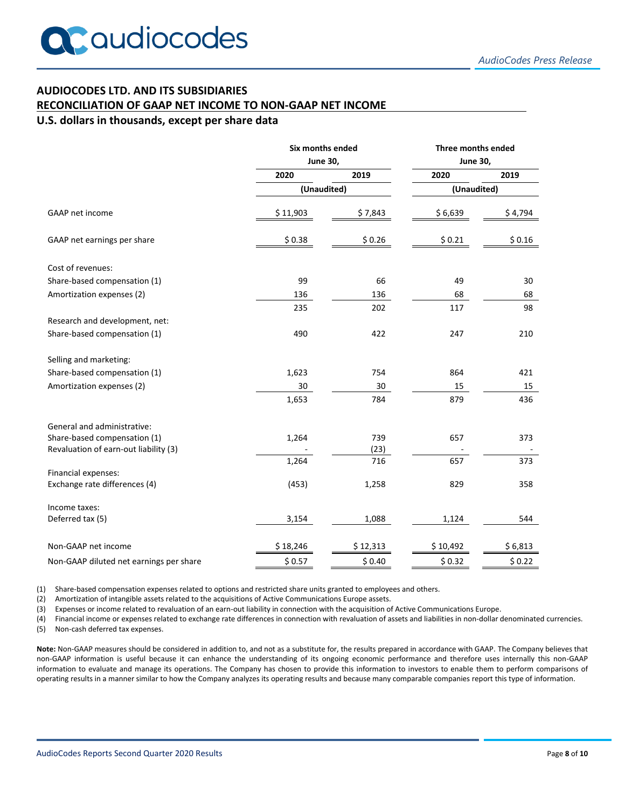## **AUDIOCODES LTD. AND ITS SUBSIDIARIES**

#### **RECONCILIATION OF GAAP NET INCOME TO NON-GAAP NET INCOME**

#### **U.S. dollars in thousands, except per share data**

|                                         | Six months ended<br><b>June 30,</b> |          | Three months ended<br><b>June 30,</b> |         |
|-----------------------------------------|-------------------------------------|----------|---------------------------------------|---------|
|                                         |                                     |          |                                       |         |
|                                         | 2020                                | 2019     | 2020                                  | 2019    |
|                                         | (Unaudited)                         |          | (Unaudited)                           |         |
| GAAP net income                         | \$11,903                            | \$7,843  | \$6,639                               | \$4,794 |
| GAAP net earnings per share             | \$0.38                              | \$0.26   | \$0.21                                | \$0.16  |
| Cost of revenues:                       |                                     |          |                                       |         |
| Share-based compensation (1)            | 99                                  | 66       | 49                                    | 30      |
| Amortization expenses (2)               | 136                                 | 136      | 68                                    | 68      |
|                                         | 235                                 | 202      | 117                                   | 98      |
| Research and development, net:          |                                     |          |                                       |         |
| Share-based compensation (1)            | 490                                 | 422      | 247                                   | 210     |
| Selling and marketing:                  |                                     |          |                                       |         |
| Share-based compensation (1)            | 1,623                               | 754      | 864                                   | 421     |
| Amortization expenses (2)               | 30                                  | 30       | 15                                    | 15      |
|                                         | 1,653                               | 784      | 879                                   | 436     |
| General and administrative:             |                                     |          |                                       |         |
| Share-based compensation (1)            | 1,264                               | 739      | 657                                   | 373     |
| Revaluation of earn-out liability (3)   |                                     | (23)     |                                       |         |
|                                         | 1,264                               | 716      | 657                                   | 373     |
| Financial expenses:                     |                                     |          |                                       |         |
| Exchange rate differences (4)           | (453)                               | 1,258    | 829                                   | 358     |
| Income taxes:                           |                                     |          |                                       |         |
| Deferred tax (5)                        | 3,154                               | 1,088    | 1,124                                 | 544     |
| Non-GAAP net income                     | \$18,246                            | \$12,313 | \$10,492                              | \$6,813 |
| Non-GAAP diluted net earnings per share | \$0.57                              | \$0.40   | \$0.32                                | \$0.22  |

(1) Share-based compensation expenses related to options and restricted share units granted to employees and others.

(2) Amortization of intangible assets related to the acquisitions of Active Communications Europe assets.

(3) Expenses or income related to revaluation of an earn-out liability in connection with the acquisition of Active Communications Europe.

(4) Financial income or expenses related to exchange rate differences in connection with revaluation of assets and liabilities in non-dollar denominated currencies. (5) Non-cash deferred tax expenses.

**Note:** Non-GAAP measures should be considered in addition to, and not as a substitute for, the results prepared in accordance with GAAP. The Company believes that non-GAAP information is useful because it can enhance the understanding of its ongoing economic performance and therefore uses internally this non-GAAP information to evaluate and manage its operations. The Company has chosen to provide this information to investors to enable them to perform comparisons of operating results in a manner similar to how the Company analyzes its operating results and because many comparable companies report this type of information.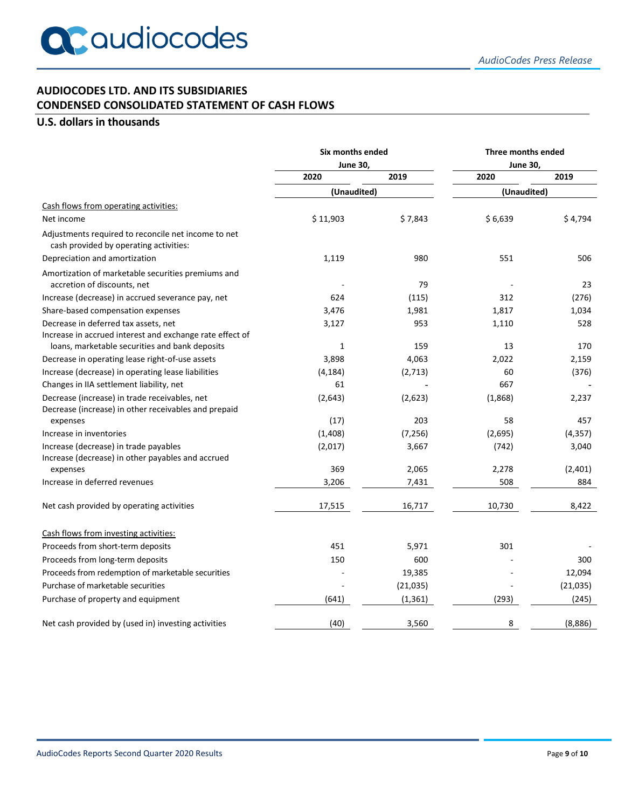# **AUDIOCODES LTD. AND ITS SUBSIDIARIES CONDENSED CONSOLIDATED STATEMENT OF CASH FLOWS**

# **U.S. dollars in thousands**

|                                                                                                            | Six months ended<br>June 30, |           | Three months ended<br><b>June 30,</b> |           |
|------------------------------------------------------------------------------------------------------------|------------------------------|-----------|---------------------------------------|-----------|
|                                                                                                            |                              |           |                                       |           |
|                                                                                                            | 2020                         | 2019      | 2020                                  | 2019      |
|                                                                                                            | (Unaudited)                  |           | (Unaudited)                           |           |
| Cash flows from operating activities:                                                                      |                              |           |                                       |           |
| Net income                                                                                                 | \$11,903                     | \$7,843   | \$6,639                               | \$4,794   |
| Adjustments required to reconcile net income to net<br>cash provided by operating activities:              |                              |           |                                       |           |
| Depreciation and amortization                                                                              | 1,119                        | 980       | 551                                   | 506       |
| Amortization of marketable securities premiums and<br>accretion of discounts, net                          |                              | 79        |                                       | 23        |
| Increase (decrease) in accrued severance pay, net                                                          | 624                          | (115)     | 312                                   | (276)     |
| Share-based compensation expenses                                                                          | 3,476                        | 1,981     | 1,817                                 | 1,034     |
| Decrease in deferred tax assets, net                                                                       | 3,127                        | 953       | 1,110                                 | 528       |
| Increase in accrued interest and exchange rate effect of<br>loans, marketable securities and bank deposits | $\mathbf{1}$                 | 159       | 13                                    | 170       |
| Decrease in operating lease right-of-use assets                                                            | 3,898                        | 4,063     | 2,022                                 | 2,159     |
| Increase (decrease) in operating lease liabilities                                                         | (4, 184)                     | (2,713)   | 60                                    | (376)     |
| Changes in IIA settlement liability, net                                                                   | 61                           |           | 667                                   |           |
| Decrease (increase) in trade receivables, net<br>Decrease (increase) in other receivables and prepaid      | (2,643)                      | (2,623)   | (1,868)                               | 2,237     |
| expenses                                                                                                   | (17)                         | 203       | 58                                    | 457       |
| Increase in inventories                                                                                    | (1,408)                      | (7, 256)  | (2,695)                               | (4, 357)  |
| Increase (decrease) in trade payables<br>Increase (decrease) in other payables and accrued                 | (2,017)                      | 3,667     | (742)                                 | 3,040     |
| expenses                                                                                                   | 369                          | 2,065     | 2,278                                 | (2,401)   |
| Increase in deferred revenues                                                                              | 3,206                        | 7,431     | 508                                   | 884       |
| Net cash provided by operating activities                                                                  | 17,515                       | 16,717    | 10,730                                | 8,422     |
| Cash flows from investing activities:                                                                      |                              |           |                                       |           |
| Proceeds from short-term deposits                                                                          | 451                          | 5,971     | 301                                   |           |
| Proceeds from long-term deposits                                                                           | 150                          | 600       |                                       | 300       |
| Proceeds from redemption of marketable securities                                                          |                              | 19,385    |                                       | 12,094    |
| Purchase of marketable securities                                                                          |                              | (21, 035) |                                       | (21, 035) |
| Purchase of property and equipment                                                                         | (641)                        | (1, 361)  | (293)                                 | (245)     |
| Net cash provided by (used in) investing activities                                                        | (40)                         | 3,560     | 8                                     | (8,886)   |